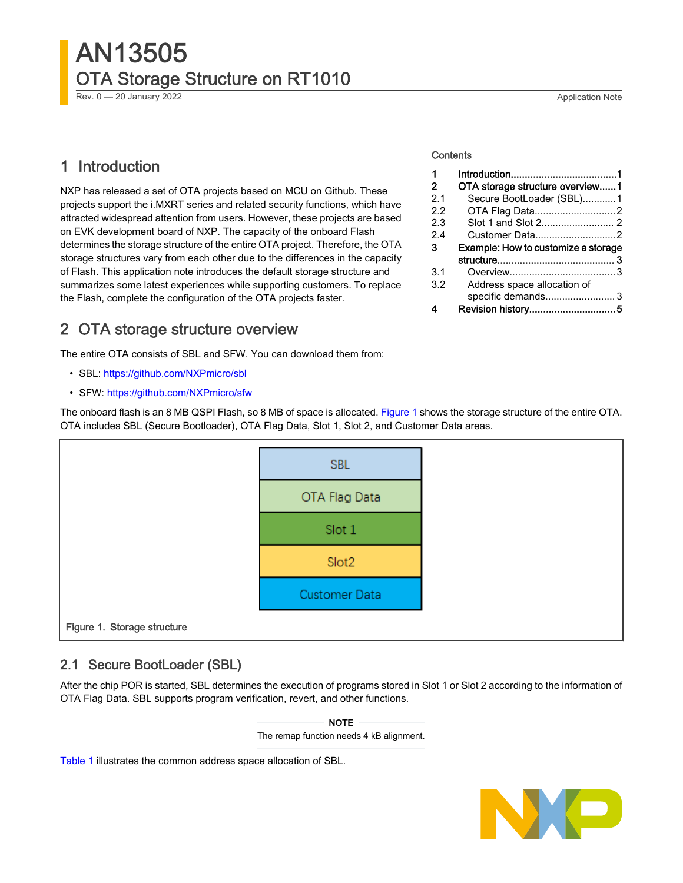# AN13505 OTA Storage Structure on RT1010

Rev. 0 — 20 January 2022 2003 2022 2023 2024 20:00 20:00 20:00 20:00 20:00 20:00 20:00 20:00 20:00 20:00 20:00 20:00 20:00 20:00 20:00 20:00 20:00 20:00 20:00 20:00 20:00 20:00 20:00 20:00 20:00 20:00 20:00 20:00 20:00 20:

### 1 Introduction

NXP has released a set of OTA projects based on MCU on Github. These projects support the i.MXRT series and related security functions, which have attracted widespread attention from users. However, these projects are based on EVK development board of NXP. The capacity of the onboard Flash determines the storage structure of the entire OTA project. Therefore, the OTA storage structures vary from each other due to the differences in the capacity of Flash. This application note introduces the default storage structure and summarizes some latest experiences while supporting customers. To replace the Flash, complete the configuration of the OTA projects faster.

### 2 OTA storage structure overview

The entire OTA consists of SBL and SFW. You can download them from:

- SBL:<https://github.com/NXPmicro/sbl>
- SFW:<https://github.com/NXPmicro/sfw>

The onboard flash is an 8 MB QSPI Flash, so 8 MB of space is allocated. Figure 1 shows the storage structure of the entire OTA. OTA includes SBL (Secure Bootloader), OTA Flag Data, Slot 1, Slot 2, and Customer Data areas.



### 2.1 Secure BootLoader (SBL)

After the chip POR is started, SBL determines the execution of programs stored in Slot 1 or Slot 2 according to the information of OTA Flag Data. SBL supports program verification, revert, and other functions.

> The remap function needs 4 kB alignment. NOTE

[Table 1](#page-1-0) illustrates the common address space allocation of SBL.



#### **Contents**

| 1              |                                     |  |
|----------------|-------------------------------------|--|
| 2              | OTA storage structure overview1     |  |
| 2 <sub>1</sub> | Secure BootLoader (SBL)1            |  |
| 22             | OTA Flag Data2                      |  |
| 2.3            |                                     |  |
| 2.4            | Customer Data2                      |  |
|                |                                     |  |
| з              | Example: How to customize a storage |  |
|                |                                     |  |
| 3.1            |                                     |  |
| 3.2            | Address space allocation of         |  |
|                | specific demands3                   |  |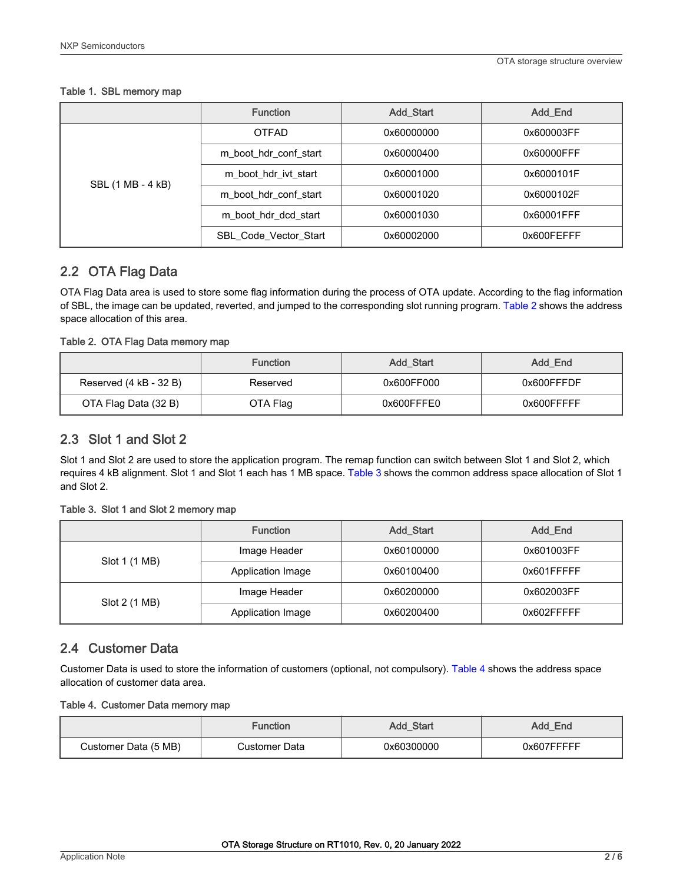### <span id="page-1-0"></span>Table 1. SBL memory map

|                   | <b>Function</b>       | <b>Add Start</b> | <b>Add End</b> |
|-------------------|-----------------------|------------------|----------------|
|                   | <b>OTFAD</b>          | 0x60000000       | 0x600003FF     |
|                   | m boot hdr conf start | 0x60000400       | 0x60000FFF     |
| SBL (1 MB - 4 kB) | m boot hdr ivt start  | 0x60001000       | 0x6000101F     |
|                   | m boot hdr conf start | 0x60001020       | 0x6000102F     |
|                   | m boot hdr dcd start  | 0x60001030       | 0x60001FFF     |
|                   | SBL_Code_Vector_Start | 0x60002000       | 0x600FEFFF     |

### 2.2 OTA Flag Data

OTA Flag Data area is used to store some flag information during the process of OTA update. According to the flag information of SBL, the image can be updated, reverted, and jumped to the corresponding slot running program. Table 2 shows the address space allocation of this area.

### Table 2. OTA Flag Data memory map

|                        | <b>Function</b> | <b>Add Start</b> | Add End    |
|------------------------|-----------------|------------------|------------|
| Reserved (4 kB - 32 B) | Reserved        | 0x600FF000       | 0x600FFFDF |
| OTA Flag Data (32 B)   | OTA Flag        | 0x600FFFE0       | 0x600FFFFF |

### 2.3 Slot 1 and Slot 2

Slot 1 and Slot 2 are used to store the application program. The remap function can switch between Slot 1 and Slot 2, which requires 4 kB alignment. Slot 1 and Slot 1 each has 1 MB space. Table 3 shows the common address space allocation of Slot 1 and Slot 2.

### Table 3. Slot 1 and Slot 2 memory map

|               | <b>Function</b>   | <b>Add Start</b> | Add End    |
|---------------|-------------------|------------------|------------|
| Slot 1 (1 MB) | Image Header      | 0x60100000       | 0x601003FF |
|               | Application Image | 0x60100400       | 0x601FFFFF |
|               | Image Header      | 0x60200000       | 0x602003FF |
| Slot 2 (1 MB) | Application Image | 0x60200400       | 0x602FFFFF |

### 2.4 Customer Data

Customer Data is used to store the information of customers (optional, not compulsory). Table 4 shows the address space allocation of customer data area.

### Table 4. Customer Data memory map

|                      | Function      | Add_Start  | Add End    |
|----------------------|---------------|------------|------------|
| Customer Data (5 MB) | Customer Data | 0x60300000 | 0x607FFFFF |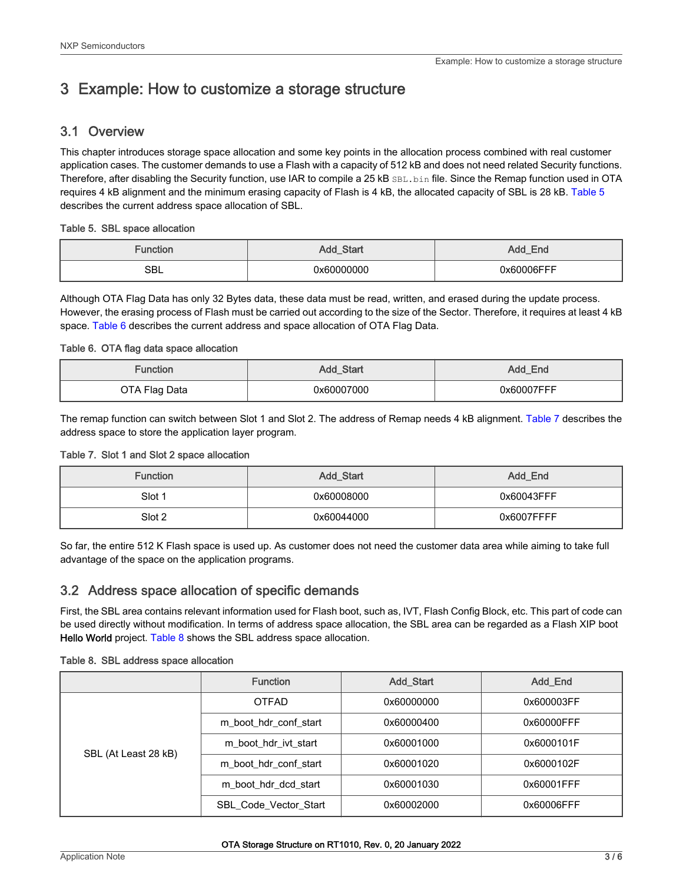## <span id="page-2-0"></span>3 Example: How to customize a storage structure

### 3.1 Overview

This chapter introduces storage space allocation and some key points in the allocation process combined with real customer application cases. The customer demands to use a Flash with a capacity of 512 kB and does not need related Security functions. Therefore, after disabling the Security function, use IAR to compile a 25 kB SBL.bin file. Since the Remap function used in OTA requires 4 kB alignment and the minimum erasing capacity of Flash is 4 kB, the allocated capacity of SBL is 28 kB. Table 5 describes the current address space allocation of SBL.

### Table 5. SBL space allocation

| Function | Add_Start  | Add_End    |
|----------|------------|------------|
| SBL      | 0x60000000 | 0x60006FFF |

Although OTA Flag Data has only 32 Bytes data, these data must be read, written, and erased during the update process. However, the erasing process of Flash must be carried out according to the size of the Sector. Therefore, it requires at least 4 kB space. Table 6 describes the current address and space allocation of OTA Flag Data.

### Table 6. OTA flag data space allocation

| <b>Function</b> | Add_Start  | Add_End    |
|-----------------|------------|------------|
| OTA Flag Data   | 0x60007000 | 0x60007FFF |

The remap function can switch between Slot 1 and Slot 2. The address of Remap needs 4 kB alignment. Table 7 describes the address space to store the application layer program.

### Table 7. Slot 1 and Slot 2 space allocation

| <b>Function</b> | Add_Start  | Add End    |
|-----------------|------------|------------|
| Slot 1          | 0x60008000 | 0x60043FFF |
| Slot 2          | 0x60044000 | 0x6007FFFF |

So far, the entire 512 K Flash space is used up. As customer does not need the customer data area while aiming to take full advantage of the space on the application programs.

### 3.2 Address space allocation of specific demands

First, the SBL area contains relevant information used for Flash boot, such as, IVT, Flash Config Block, etc. This part of code can be used directly without modification. In terms of address space allocation, the SBL area can be regarded as a Flash XIP boot Hello World project. Table 8 shows the SBL address space allocation.

### Table 8. SBL address space allocation

|                      | <b>Function</b>              | <b>Add Start</b> | Add_End    |
|----------------------|------------------------------|------------------|------------|
|                      | <b>OTFAD</b>                 | 0x60000000       | 0x600003FF |
|                      | m boot hdr conf start        | 0x60000400       | 0x60000FFF |
| SBL (At Least 28 kB) | m boot hdr ivt start         | 0x60001000       | 0x6000101F |
|                      | m_boot_hdr_conf_start        | 0x60001020       | 0x6000102F |
|                      | m boot hdr dcd start         | 0x60001030       | 0x60001FFF |
|                      | <b>SBL Code Vector Start</b> | 0x60002000       | 0x60006FFF |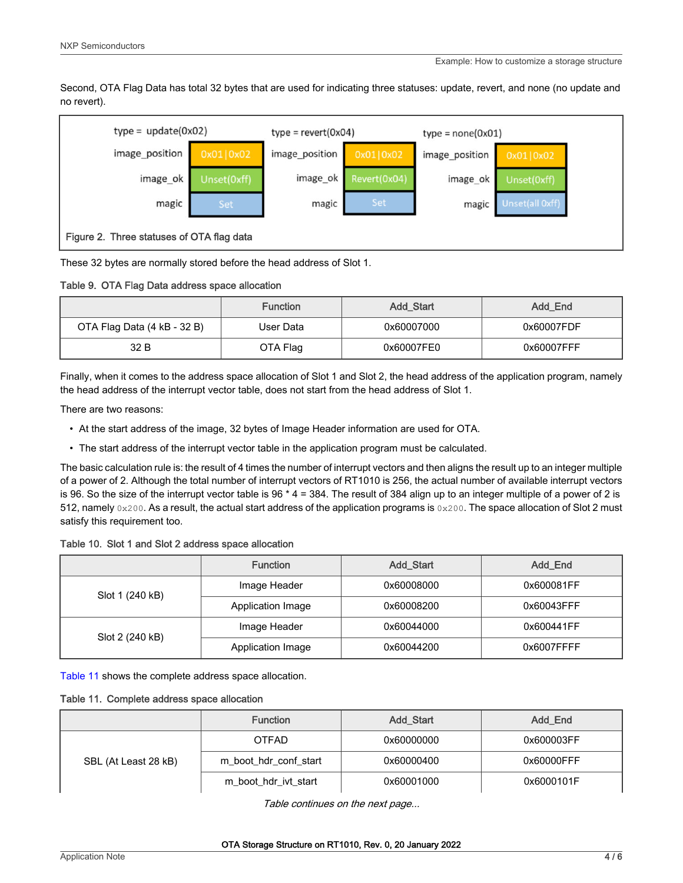Second, OTA Flag Data has total 32 bytes that are used for indicating three statuses: update, revert, and none (no update and no revert).



These 32 bytes are normally stored before the head address of Slot 1.

Table 9. OTA Flag Data address space allocation

|                             | <b>Function</b> | <b>Add Start</b> | Add_End    |
|-----------------------------|-----------------|------------------|------------|
| OTA Flag Data (4 kB - 32 B) | User Data       | 0x60007000       | 0x60007FDF |
| 32 B                        | OTA Flag        | 0x60007FE0       | 0x60007FFF |

Finally, when it comes to the address space allocation of Slot 1 and Slot 2, the head address of the application program, namely the head address of the interrupt vector table, does not start from the head address of Slot 1.

There are two reasons:

- At the start address of the image, 32 bytes of Image Header information are used for OTA.
- The start address of the interrupt vector table in the application program must be calculated.

The basic calculation rule is: the result of 4 times the number of interrupt vectors and then aligns the result up to an integer multiple of a power of 2. Although the total number of interrupt vectors of RT1010 is 256, the actual number of available interrupt vectors is 96. So the size of the interrupt vector table is 96  $*$  4 = 384. The result of 384 align up to an integer multiple of a power of 2 is 512, namely  $0 \times 200$ . As a result, the actual start address of the application programs is  $0 \times 200$ . The space allocation of Slot 2 must satisfy this requirement too.

| Table 10. Slot 1 and Slot 2 address space allocation |  |
|------------------------------------------------------|--|
|------------------------------------------------------|--|

|                 | <b>Function</b>   | Add_Start  | Add_End    |
|-----------------|-------------------|------------|------------|
| Slot 1 (240 kB) | Image Header      | 0x60008000 | 0x600081FF |
|                 | Application Image | 0x60008200 | 0x60043FFF |
| Slot 2 (240 kB) | Image Header      | 0x60044000 | 0x600441FF |
|                 | Application Image | 0x60044200 | 0x6007FFFF |

Table 11 shows the complete address space allocation.

Table 11. Complete address space allocation

|                      | <b>Function</b>       | Add_Start  | Add_End    |
|----------------------|-----------------------|------------|------------|
| SBL (At Least 28 kB) | <b>OTFAD</b>          | 0x60000000 | 0x600003FF |
|                      | m boot hdr conf start | 0x60000400 | 0x60000FFF |
|                      | m boot hdr ivt start  | 0x60001000 | 0x6000101F |

Table continues on the next page...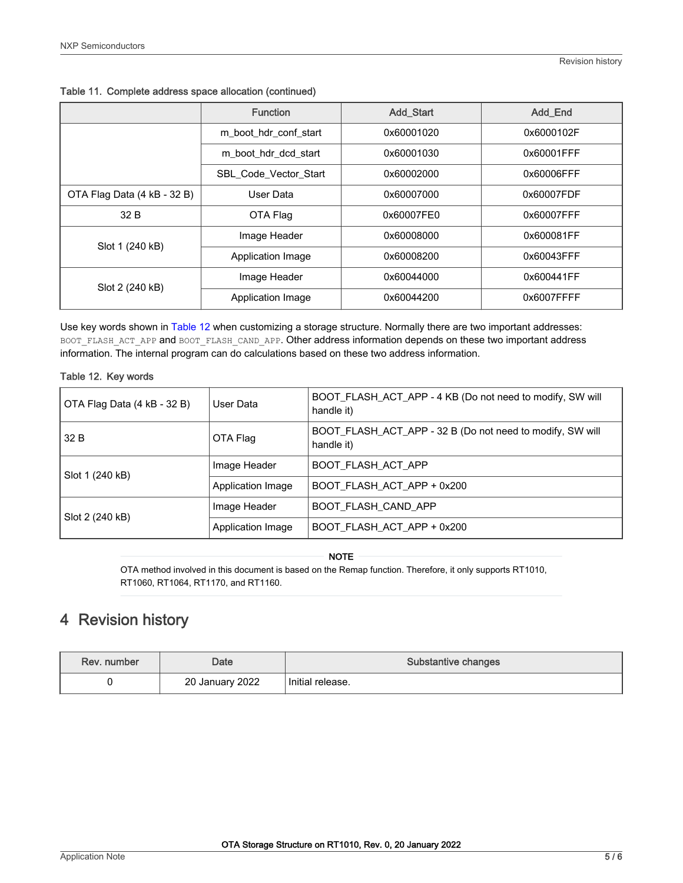|                             | <b>Function</b>              | <b>Add Start</b> | <b>Add End</b> |
|-----------------------------|------------------------------|------------------|----------------|
|                             | m_boot_hdr_conf_start        | 0x60001020       | 0x6000102F     |
|                             | m boot hdr dcd start         | 0x60001030       | 0x60001FFF     |
|                             | <b>SBL Code Vector Start</b> | 0x60002000       | 0x60006FFF     |
| OTA Flag Data (4 kB - 32 B) | User Data                    | 0x60007000       | 0x60007FDF     |
| 32 B                        | OTA Flag                     | 0x60007FE0       | 0x60007FFF     |
| Slot 1 (240 kB)             | Image Header                 | 0x60008000       | 0x600081FF     |
|                             | Application Image            | 0x60008200       | 0x60043FFF     |
| Slot 2 (240 kB)             | Image Header                 | 0x60044000       | 0x600441FF     |
|                             | Application Image            | 0x60044200       | 0x6007FFFF     |

<span id="page-4-0"></span>Table 11. Complete address space allocation (continued)

Use key words shown in Table 12 when customizing a storage structure. Normally there are two important addresses: BOOT\_FLASH\_ACT\_APP and BOOT\_FLASH\_CAND\_APP. Other address information depends on these two important address information. The internal program can do calculations based on these two address information.

### Table 12. Key words

| OTA Flag Data (4 kB - 32 B) | User Data         | BOOT_FLASH_ACT_APP - 4 KB (Do not need to modify, SW will<br>handle it) |
|-----------------------------|-------------------|-------------------------------------------------------------------------|
| 32 B                        | OTA Flag          | BOOT_FLASH_ACT_APP - 32 B (Do not need to modify, SW will<br>handle it) |
| Slot 1 (240 kB)             | Image Header      | <b>BOOT FLASH ACT APP</b>                                               |
|                             | Application Image | BOOT_FLASH_ACT_APP + 0x200                                              |
| Slot 2 (240 kB)             | Image Header      | <b>BOOT FLASH CAND APP</b>                                              |
|                             | Application Image | BOOT_FLASH_ACT_APP + 0x200                                              |

#### NOTE

OTA method involved in this document is based on the Remap function. Therefore, it only supports RT1010, RT1060, RT1064, RT1170, and RT1160.

### 4 Revision history

| Rev. number | Date            | Substantive changes |
|-------------|-----------------|---------------------|
|             | 20 January 2022 | Initial release.    |